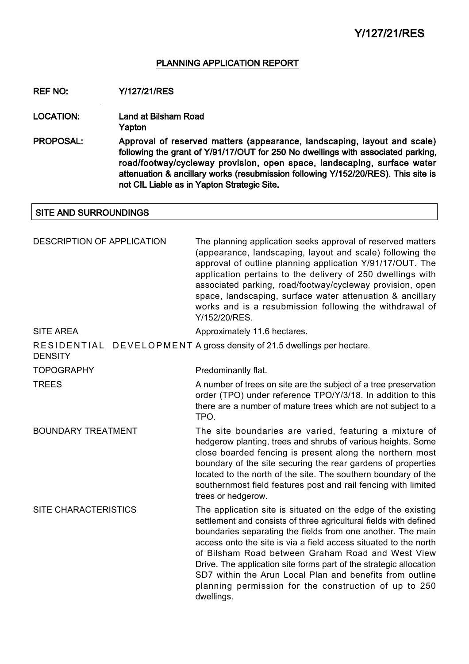## PLANNING APPLICATION REPORT

REF NO: Y/127/21/RES

LOCATION: Land at Bilsham Road Yapton

PROPOSAL: Approval of reserved matters (appearance, landscaping, layout and scale) following the grant of Y/91/17/OUT for 250 No dwellings with associated parking, road/footway/cycleway provision, open space, landscaping, surface water attenuation & ancillary works (resubmission following Y/152/20/RES). This site is not CIL Liable as in Yapton Strategic Site.

## SITE AND SURROUNDINGS

| DESCRIPTION OF APPLICATION  | The planning application seeks approval of reserved matters<br>(appearance, landscaping, layout and scale) following the<br>approval of outline planning application Y/91/17/OUT. The<br>application pertains to the delivery of 250 dwellings with<br>associated parking, road/footway/cycleway provision, open<br>space, landscaping, surface water attenuation & ancillary<br>works and is a resubmission following the withdrawal of<br>Y/152/20/RES.                                                                          |
|-----------------------------|------------------------------------------------------------------------------------------------------------------------------------------------------------------------------------------------------------------------------------------------------------------------------------------------------------------------------------------------------------------------------------------------------------------------------------------------------------------------------------------------------------------------------------|
| <b>SITE AREA</b>            | Approximately 11.6 hectares.                                                                                                                                                                                                                                                                                                                                                                                                                                                                                                       |
| <b>DENSITY</b>              | RESIDENTIAL DEVELOPMENT A gross density of 21.5 dwellings per hectare.                                                                                                                                                                                                                                                                                                                                                                                                                                                             |
| <b>TOPOGRAPHY</b>           | Predominantly flat.                                                                                                                                                                                                                                                                                                                                                                                                                                                                                                                |
| <b>TREES</b>                | A number of trees on site are the subject of a tree preservation<br>order (TPO) under reference TPO/Y/3/18. In addition to this<br>there are a number of mature trees which are not subject to a<br>TPO.                                                                                                                                                                                                                                                                                                                           |
| <b>BOUNDARY TREATMENT</b>   | The site boundaries are varied, featuring a mixture of<br>hedgerow planting, trees and shrubs of various heights. Some<br>close boarded fencing is present along the northern most<br>boundary of the site securing the rear gardens of properties<br>located to the north of the site. The southern boundary of the<br>southernmost field features post and rail fencing with limited<br>trees or hedgerow.                                                                                                                       |
| <b>SITE CHARACTERISTICS</b> | The application site is situated on the edge of the existing<br>settlement and consists of three agricultural fields with defined<br>boundaries separating the fields from one another. The main<br>access onto the site is via a field access situated to the north<br>of Bilsham Road between Graham Road and West View<br>Drive. The application site forms part of the strategic allocation<br>SD7 within the Arun Local Plan and benefits from outline<br>planning permission for the construction of up to 250<br>dwellings. |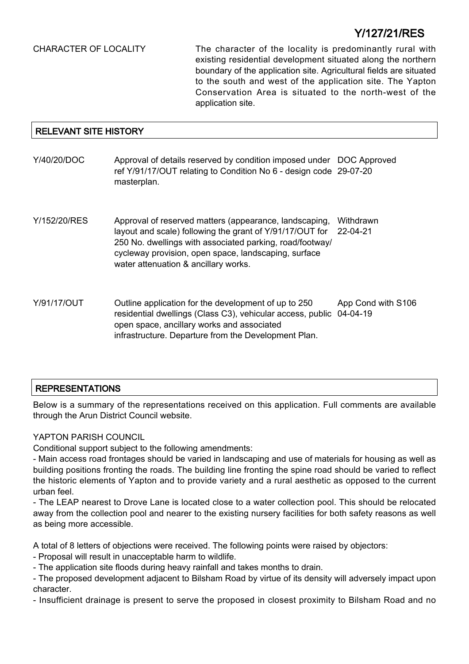CHARACTER OF LOCALITY The character of the locality is predominantly rural with existing residential development situated along the northern boundary of the application site. Agricultural fields are situated to the south and west of the application site. The Yapton Conservation Area is situated to the north-west of the application site.

## RELEVANT SITE HISTORY

- Y/40/20/DOC Approval of details reserved by condition imposed under DOC Approved ref Y/91/17/OUT relating to Condition No 6 - design code 29-07-20 masterplan.
- Y/152/20/RES Approval of reserved matters (appearance, landscaping, layout and scale) following the grant of Y/91/17/OUT for 250 No. dwellings with associated parking, road/footway/ cycleway provision, open space, landscaping, surface water attenuation & ancillary works. **Withdrawn** 22-04-21
- Y/91/17/OUT Outline application for the development of up to 250 residential dwellings (Class C3), vehicular access, public 04-04-19 open space, ancillary works and associated infrastructure. Departure from the Development Plan. App Cond with S106

## REPRESENTATIONS

Below is a summary of the representations received on this application. Full comments are available through the Arun District Council website.

## YAPTON PARISH COUNCIL

Conditional support subject to the following amendments:

- Main access road frontages should be varied in landscaping and use of materials for housing as well as building positions fronting the roads. The building line fronting the spine road should be varied to reflect the historic elements of Yapton and to provide variety and a rural aesthetic as opposed to the current urban feel.

- The LEAP nearest to Drove Lane is located close to a water collection pool. This should be relocated away from the collection pool and nearer to the existing nursery facilities for both safety reasons as well as being more accessible.

A total of 8 letters of objections were received. The following points were raised by objectors:

- Proposal will result in unacceptable harm to wildlife.

- The application site floods during heavy rainfall and takes months to drain.

- The proposed development adjacent to Bilsham Road by virtue of its density will adversely impact upon character.

- Insufficient drainage is present to serve the proposed in closest proximity to Bilsham Road and no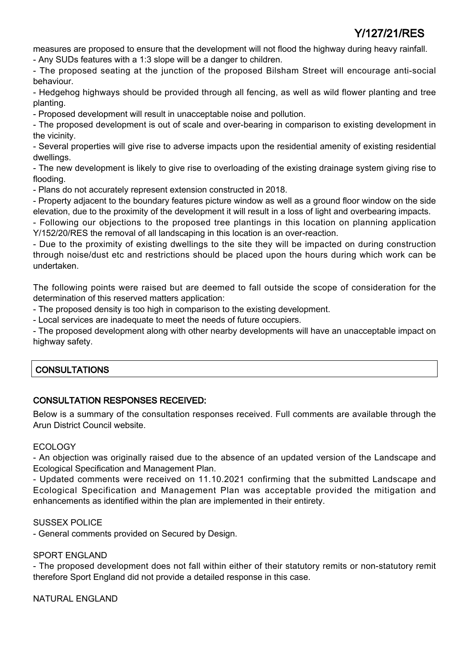measures are proposed to ensure that the development will not flood the highway during heavy rainfall.

- Any SUDs features with a 1:3 slope will be a danger to children.

- The proposed seating at the junction of the proposed Bilsham Street will encourage anti-social behaviour.

- Hedgehog highways should be provided through all fencing, as well as wild flower planting and tree planting.

- Proposed development will result in unacceptable noise and pollution.

- The proposed development is out of scale and over-bearing in comparison to existing development in the vicinity.

- Several properties will give rise to adverse impacts upon the residential amenity of existing residential dwellings.

- The new development is likely to give rise to overloading of the existing drainage system giving rise to flooding.

- Plans do not accurately represent extension constructed in 2018.

- Property adjacent to the boundary features picture window as well as a ground floor window on the side elevation, due to the proximity of the development it will result in a loss of light and overbearing impacts.

- Following our objections to the proposed tree plantings in this location on planning application Y/152/20/RES the removal of all landscaping in this location is an over-reaction.

- Due to the proximity of existing dwellings to the site they will be impacted on during construction through noise/dust etc and restrictions should be placed upon the hours during which work can be undertaken.

The following points were raised but are deemed to fall outside the scope of consideration for the determination of this reserved matters application:

- The proposed density is too high in comparison to the existing development.

- Local services are inadequate to meet the needs of future occupiers.

- The proposed development along with other nearby developments will have an unacceptable impact on highway safety.

## **CONSULTATIONS**

## CONSULTATION RESPONSES RECEIVED:

Below is a summary of the consultation responses received. Full comments are available through the Arun District Council website.

## ECOLOGY

- An objection was originally raised due to the absence of an updated version of the Landscape and Ecological Specification and Management Plan.

- Updated comments were received on 11.10.2021 confirming that the submitted Landscape and Ecological Specification and Management Plan was acceptable provided the mitigation and enhancements as identified within the plan are implemented in their entirety.

## SUSSEX POLICE

- General comments provided on Secured by Design.

## SPORT ENGLAND

- The proposed development does not fall within either of their statutory remits or non-statutory remit therefore Sport England did not provide a detailed response in this case.

NATURAL ENGLAND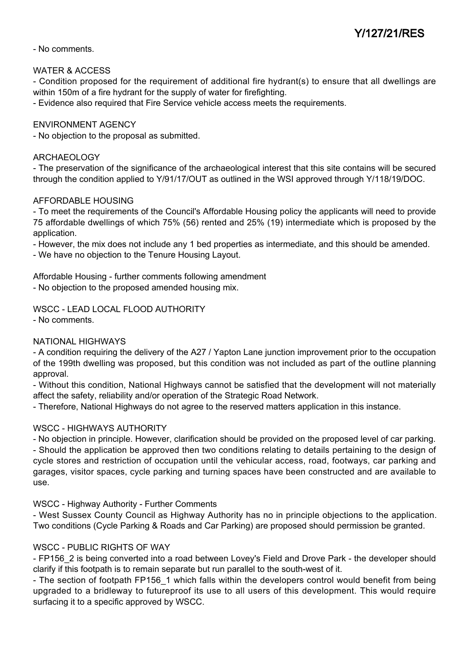- No comments.

## WATER & ACCESS

- Condition proposed for the requirement of additional fire hydrant(s) to ensure that all dwellings are within 150m of a fire hydrant for the supply of water for firefighting.

- Evidence also required that Fire Service vehicle access meets the requirements.

## ENVIRONMENT AGENCY

- No objection to the proposal as submitted.

#### ARCHAEOLOGY

- The preservation of the significance of the archaeological interest that this site contains will be secured through the condition applied to Y/91/17/OUT as outlined in the WSI approved through Y/118/19/DOC.

#### AFFORDABLE HOUSING

- To meet the requirements of the Council's Affordable Housing policy the applicants will need to provide 75 affordable dwellings of which 75% (56) rented and 25% (19) intermediate which is proposed by the application.

- However, the mix does not include any 1 bed properties as intermediate, and this should be amended.

- We have no objection to the Tenure Housing Layout.

Affordable Housing - further comments following amendment - No objection to the proposed amended housing mix.

WSCC - LEAD LOCAL FLOOD AUTHORITY

- No comments.

## NATIONAL HIGHWAYS

- A condition requiring the delivery of the A27 / Yapton Lane junction improvement prior to the occupation of the 199th dwelling was proposed, but this condition was not included as part of the outline planning approval.

- Without this condition, National Highways cannot be satisfied that the development will not materially affect the safety, reliability and/or operation of the Strategic Road Network.

- Therefore, National Highways do not agree to the reserved matters application in this instance.

## WSCC - HIGHWAYS AUTHORITY

- No objection in principle. However, clarification should be provided on the proposed level of car parking. - Should the application be approved then two conditions relating to details pertaining to the design of cycle stores and restriction of occupation until the vehicular access, road, footways, car parking and garages, visitor spaces, cycle parking and turning spaces have been constructed and are available to use.

#### WSCC - Highway Authority - Further Comments

- West Sussex County Council as Highway Authority has no in principle objections to the application. Two conditions (Cycle Parking & Roads and Car Parking) are proposed should permission be granted.

## WSCC - PUBLIC RIGHTS OF WAY

- FP156 2 is being converted into a road between Lovey's Field and Drove Park - the developer should clarify if this footpath is to remain separate but run parallel to the south-west of it.

- The section of footpath FP156\_1 which falls within the developers control would benefit from being upgraded to a bridleway to futureproof its use to all users of this development. This would require surfacing it to a specific approved by WSCC.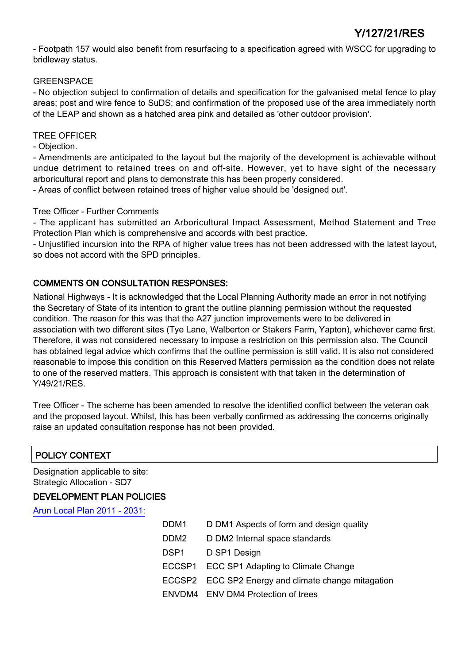- Footpath 157 would also benefit from resurfacing to a specification agreed with WSCC for upgrading to bridleway status.

## GREENSPACE

- No objection subject to confirmation of details and specification for the galvanised metal fence to play areas; post and wire fence to SuDS; and confirmation of the proposed use of the area immediately north of the LEAP and shown as a hatched area pink and detailed as 'other outdoor provision'.

## TREE OFFICER

- Objection.

- Amendments are anticipated to the layout but the majority of the development is achievable without undue detriment to retained trees on and off-site. However, yet to have sight of the necessary arboricultural report and plans to demonstrate this has been properly considered.

- Areas of conflict between retained trees of higher value should be 'designed out'.

## Tree Officer - Further Comments

- The applicant has submitted an Arboricultural Impact Assessment, Method Statement and Tree Protection Plan which is comprehensive and accords with best practice.

- Unjustified incursion into the RPA of higher value trees has not been addressed with the latest layout, so does not accord with the SPD principles.

## COMMENTS ON CONSULTATION RESPONSES:

National Highways - It is acknowledged that the Local Planning Authority made an error in not notifying the Secretary of State of its intention to grant the outline planning permission without the requested condition. The reason for this was that the A27 junction improvements were to be delivered in association with two different sites (Tye Lane, Walberton or Stakers Farm, Yapton), whichever came first. Therefore, it was not considered necessary to impose a restriction on this permission also. The Council has obtained legal advice which confirms that the outline permission is still valid. It is also not considered reasonable to impose this condition on this Reserved Matters permission as the condition does not relate to one of the reserved matters. This approach is consistent with that taken in the determination of Y/49/21/RES.

Tree Officer - The scheme has been amended to resolve the identified conflict between the veteran oak and the proposed layout. Whilst, this has been verbally confirmed as addressing the concerns originally raise an updated consultation response has not been provided.

# POLICY CONTEXT

Designation applicable to site: Strategic Allocation - SD7

## DEVELOPMENT PLAN POLICIES

[Arun Local Plan 2011 - 2031:](https://www.arun.gov.uk/adopted-local-plan)

| DDM <sub>1</sub> | D DM1 Aspects of form and design quality            |
|------------------|-----------------------------------------------------|
| DDM <sub>2</sub> | D DM2 Internal space standards                      |
| DSP1             | D SP1 Design                                        |
|                  | ECCSP1 ECC SP1 Adapting to Climate Change           |
|                  | ECCSP2 ECC SP2 Energy and climate change mitagation |
|                  | ENVDM4 ENV DM4 Protection of trees                  |
|                  |                                                     |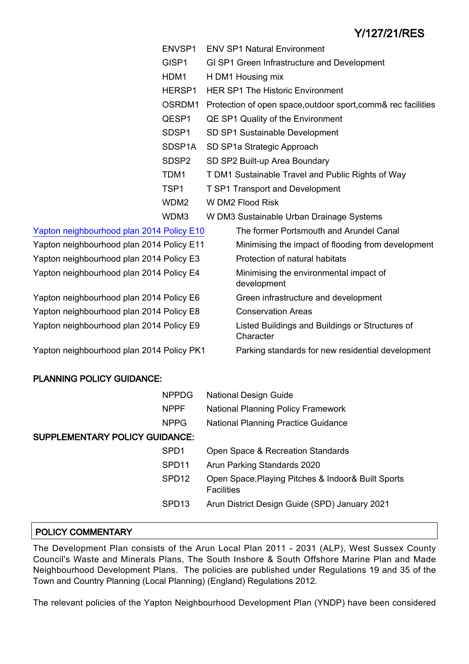|                                           | ENVSP1              | <b>ENV SP1 Natural Environment</b>                            |
|-------------------------------------------|---------------------|---------------------------------------------------------------|
|                                           | GISP1               | GI SP1 Green Infrastructure and Development                   |
|                                           | HDM1                | H DM1 Housing mix                                             |
|                                           | HERSP1              | <b>HER SP1 The Historic Environment</b>                       |
|                                           | OSRDM1              | Protection of open space, outdoor sport, comm& rec facilities |
|                                           | QESP1               | QE SP1 Quality of the Environment                             |
|                                           | SDSP1               | SD SP1 Sustainable Development                                |
|                                           | SDSP <sub>1</sub> A | SD SP1a Strategic Approach                                    |
|                                           | SDSP <sub>2</sub>   | SD SP2 Built-up Area Boundary                                 |
|                                           | TDM1                | T DM1 Sustainable Travel and Public Rights of Way             |
|                                           | TSP <sub>1</sub>    | <b>T SP1 Transport and Development</b>                        |
|                                           | WDM <sub>2</sub>    | W DM2 Flood Risk                                              |
|                                           | WDM3                | W DM3 Sustainable Urban Drainage Systems                      |
| Yapton neighbourhood plan 2014 Policy E10 |                     | The former Portsmouth and Arundel Canal                       |
| Yapton neighbourhood plan 2014 Policy E11 |                     | Minimising the impact of flooding from development            |
| Yapton neighbourhood plan 2014 Policy E3  |                     | Protection of natural habitats                                |
| Yapton neighbourhood plan 2014 Policy E4  |                     | Minimising the environmental impact of<br>development         |
| Yapton neighbourhood plan 2014 Policy E6  |                     | Green infrastructure and development                          |
| Yapton neighbourhood plan 2014 Policy E8  |                     | <b>Conservation Areas</b>                                     |
| Yapton neighbourhood plan 2014 Policy E9  |                     | Listed Buildings and Buildings or Structures of<br>Character  |
| Yapton neighbourhood plan 2014 Policy PK1 |                     | Parking standards for new residential development             |
|                                           |                     |                                                               |

## PLANNING POLICY GUIDANCE:

|                                       | <b>NPPDG</b>      | <b>National Design Guide</b>                                            |
|---------------------------------------|-------------------|-------------------------------------------------------------------------|
|                                       | <b>NPPF</b>       | <b>National Planning Policy Framework</b>                               |
|                                       | <b>NPPG</b>       | <b>National Planning Practice Guidance</b>                              |
| <b>SUPPLEMENTARY POLICY GUIDANCE:</b> |                   |                                                                         |
|                                       | SPD <sub>1</sub>  | Open Space & Recreation Standards                                       |
|                                       | SPD <sub>11</sub> | Arun Parking Standards 2020                                             |
|                                       | SPD <sub>12</sub> | Open Space, Playing Pitches & Indoor& Built Sports<br><b>Facilities</b> |
|                                       | SPD <sub>13</sub> | Arun District Design Guide (SPD) January 2021                           |

## POLICY COMMENTARY

The Development Plan consists of the Arun Local Plan 2011 - 2031 (ALP), West Sussex County Council's Waste and Minerals Plans, The South Inshore & South Offshore Marine Plan and Made Neighbourhood Development Plans. The policies are published under Regulations 19 and 35 of the Town and Country Planning (Local Planning) (England) Regulations 2012.

The relevant policies of the Yapton Neighbourhood Development Plan (YNDP) have been considered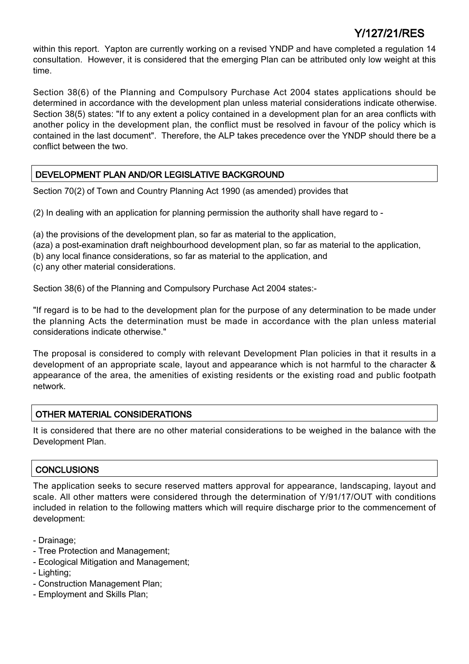within this report. Yapton are currently working on a revised YNDP and have completed a regulation 14 consultation. However, it is considered that the emerging Plan can be attributed only low weight at this time.

Section 38(6) of the Planning and Compulsory Purchase Act 2004 states applications should be determined in accordance with the development plan unless material considerations indicate otherwise. Section 38(5) states: "If to any extent a policy contained in a development plan for an area conflicts with another policy in the development plan, the conflict must be resolved in favour of the policy which is contained in the last document". Therefore, the ALP takes precedence over the YNDP should there be a conflict between the two.

## DEVELOPMENT PLAN AND/OR LEGISLATIVE BACKGROUND

Section 70(2) of Town and Country Planning Act 1990 (as amended) provides that

(2) In dealing with an application for planning permission the authority shall have regard to -

(a) the provisions of the development plan, so far as material to the application,

- (aza) a post-examination draft neighbourhood development plan, so far as material to the application,
- (b) any local finance considerations, so far as material to the application, and
- (c) any other material considerations.

Section 38(6) of the Planning and Compulsory Purchase Act 2004 states:-

"If regard is to be had to the development plan for the purpose of any determination to be made under the planning Acts the determination must be made in accordance with the plan unless material considerations indicate otherwise."

The proposal is considered to comply with relevant Development Plan policies in that it results in a development of an appropriate scale, layout and appearance which is not harmful to the character & appearance of the area, the amenities of existing residents or the existing road and public footpath network.

## OTHER MATERIAL CONSIDERATIONS

It is considered that there are no other material considerations to be weighed in the balance with the Development Plan.

## **CONCLUSIONS**

The application seeks to secure reserved matters approval for appearance, landscaping, layout and scale. All other matters were considered through the determination of Y/91/17/OUT with conditions included in relation to the following matters which will require discharge prior to the commencement of development:

- Drainage;
- Tree Protection and Management;
- Ecological Mitigation and Management;
- Lighting;
- Construction Management Plan;
- Employment and Skills Plan;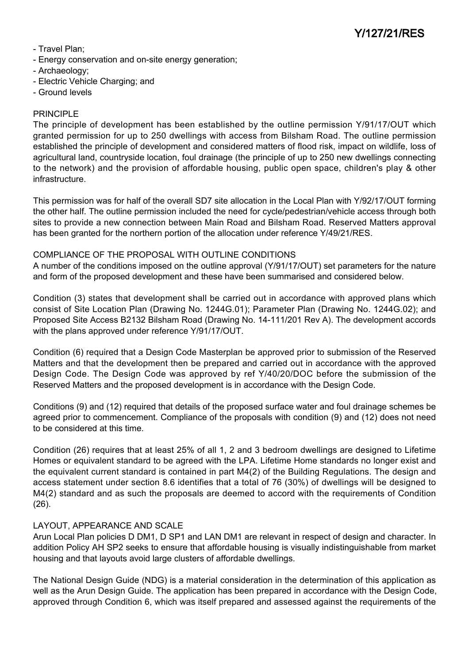- Travel Plan;
- Energy conservation and on-site energy generation;
- Archaeology;
- Electric Vehicle Charging; and
- Ground levels

## PRINCIPLE

The principle of development has been established by the outline permission Y/91/17/OUT which granted permission for up to 250 dwellings with access from Bilsham Road. The outline permission established the principle of development and considered matters of flood risk, impact on wildlife, loss of agricultural land, countryside location, foul drainage (the principle of up to 250 new dwellings connecting to the network) and the provision of affordable housing, public open space, children's play & other infrastructure.

This permission was for half of the overall SD7 site allocation in the Local Plan with Y/92/17/OUT forming the other half. The outline permission included the need for cycle/pedestrian/vehicle access through both sites to provide a new connection between Main Road and Bilsham Road. Reserved Matters approval has been granted for the northern portion of the allocation under reference Y/49/21/RES.

## COMPLIANCE OF THE PROPOSAL WITH OUTLINE CONDITIONS

A number of the conditions imposed on the outline approval (Y/91/17/OUT) set parameters for the nature and form of the proposed development and these have been summarised and considered below.

Condition (3) states that development shall be carried out in accordance with approved plans which consist of Site Location Plan (Drawing No. 1244G.01); Parameter Plan (Drawing No. 1244G.02); and Proposed Site Access B2132 Bilsham Road (Drawing No. 14-111/201 Rev A). The development accords with the plans approved under reference Y/91/17/OUT.

Condition (6) required that a Design Code Masterplan be approved prior to submission of the Reserved Matters and that the development then be prepared and carried out in accordance with the approved Design Code. The Design Code was approved by ref Y/40/20/DOC before the submission of the Reserved Matters and the proposed development is in accordance with the Design Code.

Conditions (9) and (12) required that details of the proposed surface water and foul drainage schemes be agreed prior to commencement. Compliance of the proposals with condition (9) and (12) does not need to be considered at this time.

Condition (26) requires that at least 25% of all 1, 2 and 3 bedroom dwellings are designed to Lifetime Homes or equivalent standard to be agreed with the LPA. Lifetime Home standards no longer exist and the equivalent current standard is contained in part M4(2) of the Building Regulations. The design and access statement under section 8.6 identifies that a total of 76 (30%) of dwellings will be designed to M4(2) standard and as such the proposals are deemed to accord with the requirements of Condition (26).

## LAYOUT, APPEARANCE AND SCALE

Arun Local Plan policies D DM1, D SP1 and LAN DM1 are relevant in respect of design and character. In addition Policy AH SP2 seeks to ensure that affordable housing is visually indistinguishable from market housing and that layouts avoid large clusters of affordable dwellings.

The National Design Guide (NDG) is a material consideration in the determination of this application as well as the Arun Design Guide. The application has been prepared in accordance with the Design Code, approved through Condition 6, which was itself prepared and assessed against the requirements of the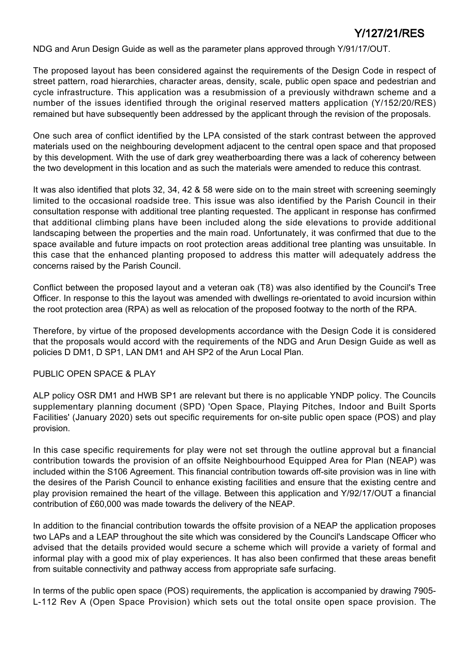NDG and Arun Design Guide as well as the parameter plans approved through Y/91/17/OUT.

The proposed layout has been considered against the requirements of the Design Code in respect of street pattern, road hierarchies, character areas, density, scale, public open space and pedestrian and cycle infrastructure. This application was a resubmission of a previously withdrawn scheme and a number of the issues identified through the original reserved matters application (Y/152/20/RES) remained but have subsequently been addressed by the applicant through the revision of the proposals.

One such area of conflict identified by the LPA consisted of the stark contrast between the approved materials used on the neighbouring development adjacent to the central open space and that proposed by this development. With the use of dark grey weatherboarding there was a lack of coherency between the two development in this location and as such the materials were amended to reduce this contrast.

It was also identified that plots 32, 34, 42 & 58 were side on to the main street with screening seemingly limited to the occasional roadside tree. This issue was also identified by the Parish Council in their consultation response with additional tree planting requested. The applicant in response has confirmed that additional climbing plans have been included along the side elevations to provide additional landscaping between the properties and the main road. Unfortunately, it was confirmed that due to the space available and future impacts on root protection areas additional tree planting was unsuitable. In this case that the enhanced planting proposed to address this matter will adequately address the concerns raised by the Parish Council.

Conflict between the proposed layout and a veteran oak (T8) was also identified by the Council's Tree Officer. In response to this the layout was amended with dwellings re-orientated to avoid incursion within the root protection area (RPA) as well as relocation of the proposed footway to the north of the RPA.

Therefore, by virtue of the proposed developments accordance with the Design Code it is considered that the proposals would accord with the requirements of the NDG and Arun Design Guide as well as policies D DM1, D SP1, LAN DM1 and AH SP2 of the Arun Local Plan.

## PUBLIC OPEN SPACE & PLAY

ALP policy OSR DM1 and HWB SP1 are relevant but there is no applicable YNDP policy. The Councils supplementary planning document (SPD) 'Open Space, Playing Pitches, Indoor and Built Sports Facilities' (January 2020) sets out specific requirements for on-site public open space (POS) and play provision.

In this case specific requirements for play were not set through the outline approval but a financial contribution towards the provision of an offsite Neighbourhood Equipped Area for Plan (NEAP) was included within the S106 Agreement. This financial contribution towards off-site provision was in line with the desires of the Parish Council to enhance existing facilities and ensure that the existing centre and play provision remained the heart of the village. Between this application and Y/92/17/OUT a financial contribution of £60,000 was made towards the delivery of the NEAP.

In addition to the financial contribution towards the offsite provision of a NEAP the application proposes two LAPs and a LEAP throughout the site which was considered by the Council's Landscape Officer who advised that the details provided would secure a scheme which will provide a variety of formal and informal play with a good mix of play experiences. It has also been confirmed that these areas benefit from suitable connectivity and pathway access from appropriate safe surfacing.

In terms of the public open space (POS) requirements, the application is accompanied by drawing 7905- L-112 Rev A (Open Space Provision) which sets out the total onsite open space provision. The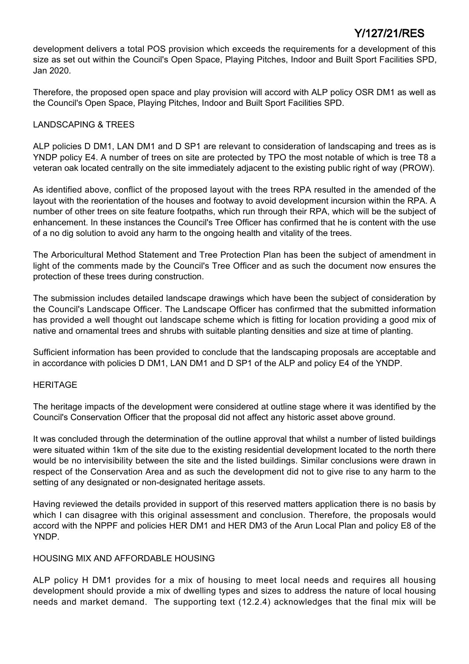development delivers a total POS provision which exceeds the requirements for a development of this size as set out within the Council's Open Space, Playing Pitches, Indoor and Built Sport Facilities SPD, Jan 2020.

Therefore, the proposed open space and play provision will accord with ALP policy OSR DM1 as well as the Council's Open Space, Playing Pitches, Indoor and Built Sport Facilities SPD.

## LANDSCAPING & TREES

ALP policies D DM1, LAN DM1 and D SP1 are relevant to consideration of landscaping and trees as is YNDP policy E4. A number of trees on site are protected by TPO the most notable of which is tree T8 a veteran oak located centrally on the site immediately adjacent to the existing public right of way (PROW).

As identified above, conflict of the proposed layout with the trees RPA resulted in the amended of the layout with the reorientation of the houses and footway to avoid development incursion within the RPA. A number of other trees on site feature footpaths, which run through their RPA, which will be the subject of enhancement. In these instances the Council's Tree Officer has confirmed that he is content with the use of a no dig solution to avoid any harm to the ongoing health and vitality of the trees.

The Arboricultural Method Statement and Tree Protection Plan has been the subject of amendment in light of the comments made by the Council's Tree Officer and as such the document now ensures the protection of these trees during construction.

The submission includes detailed landscape drawings which have been the subject of consideration by the Council's Landscape Officer. The Landscape Officer has confirmed that the submitted information has provided a well thought out landscape scheme which is fitting for location providing a good mix of native and ornamental trees and shrubs with suitable planting densities and size at time of planting.

Sufficient information has been provided to conclude that the landscaping proposals are acceptable and in accordance with policies D DM1, LAN DM1 and D SP1 of the ALP and policy E4 of the YNDP.

## HERITAGE

The heritage impacts of the development were considered at outline stage where it was identified by the Council's Conservation Officer that the proposal did not affect any historic asset above ground.

It was concluded through the determination of the outline approval that whilst a number of listed buildings were situated within 1km of the site due to the existing residential development located to the north there would be no intervisibility between the site and the listed buildings. Similar conclusions were drawn in respect of the Conservation Area and as such the development did not to give rise to any harm to the setting of any designated or non-designated heritage assets.

Having reviewed the details provided in support of this reserved matters application there is no basis by which I can disagree with this original assessment and conclusion. Therefore, the proposals would accord with the NPPF and policies HER DM1 and HER DM3 of the Arun Local Plan and policy E8 of the YNDP.

## HOUSING MIX AND AFFORDABLE HOUSING

ALP policy H DM1 provides for a mix of housing to meet local needs and requires all housing development should provide a mix of dwelling types and sizes to address the nature of local housing needs and market demand. The supporting text (12.2.4) acknowledges that the final mix will be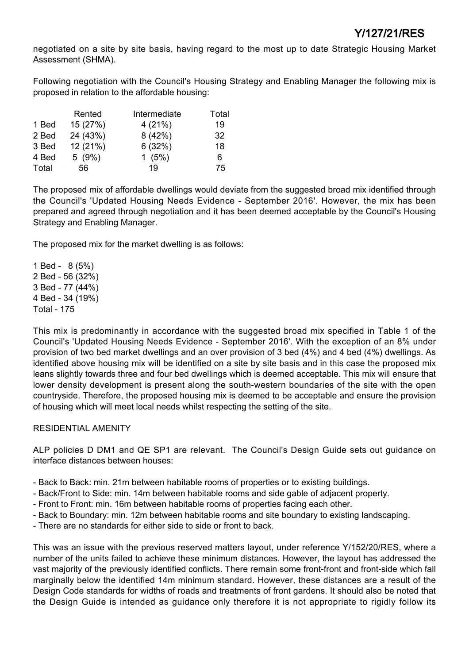negotiated on a site by site basis, having regard to the most up to date Strategic Housing Market Assessment (SHMA).

Following negotiation with the Council's Housing Strategy and Enabling Manager the following mix is proposed in relation to the affordable housing:

|       | Rented   | Intermediate | Total |
|-------|----------|--------------|-------|
| 1 Bed | 15 (27%) | 4(21%)       | 19    |
| 2 Bed | 24 (43%) | 8(42%)       | 32    |
| 3 Bed | 12 (21%) | 6(32%)       | 18    |
| 4 Bed | 5(9%)    | 1(5%)        | 6     |
| Total | 56       | 19           | 75    |

The proposed mix of affordable dwellings would deviate from the suggested broad mix identified through the Council's 'Updated Housing Needs Evidence - September 2016'. However, the mix has been prepared and agreed through negotiation and it has been deemed acceptable by the Council's Housing Strategy and Enabling Manager.

The proposed mix for the market dwelling is as follows:

1 Bed - 8 (5%) 2 Bed - 56 (32%) 3 Bed - 77 (44%) 4 Bed - 34 (19%) Total - 175

This mix is predominantly in accordance with the suggested broad mix specified in Table 1 of the Council's 'Updated Housing Needs Evidence - September 2016'. With the exception of an 8% under provision of two bed market dwellings and an over provision of 3 bed (4%) and 4 bed (4%) dwellings. As identified above housing mix will be identified on a site by site basis and in this case the proposed mix leans slightly towards three and four bed dwellings which is deemed acceptable. This mix will ensure that lower density development is present along the south-western boundaries of the site with the open countryside. Therefore, the proposed housing mix is deemed to be acceptable and ensure the provision of housing which will meet local needs whilst respecting the setting of the site.

## RESIDENTIAL AMENITY

ALP policies D DM1 and QE SP1 are relevant. The Council's Design Guide sets out guidance on interface distances between houses:

- Back to Back: min. 21m between habitable rooms of properties or to existing buildings.
- Back/Front to Side: min. 14m between habitable rooms and side gable of adjacent property.
- Front to Front: min. 16m between habitable rooms of properties facing each other.
- Back to Boundary: min. 12m between habitable rooms and site boundary to existing landscaping.
- There are no standards for either side to side or front to back.

This was an issue with the previous reserved matters layout, under reference Y/152/20/RES, where a number of the units failed to achieve these minimum distances. However, the layout has addressed the vast majority of the previously identified conflicts. There remain some front-front and front-side which fall marginally below the identified 14m minimum standard. However, these distances are a result of the Design Code standards for widths of roads and treatments of front gardens. It should also be noted that the Design Guide is intended as guidance only therefore it is not appropriate to rigidly follow its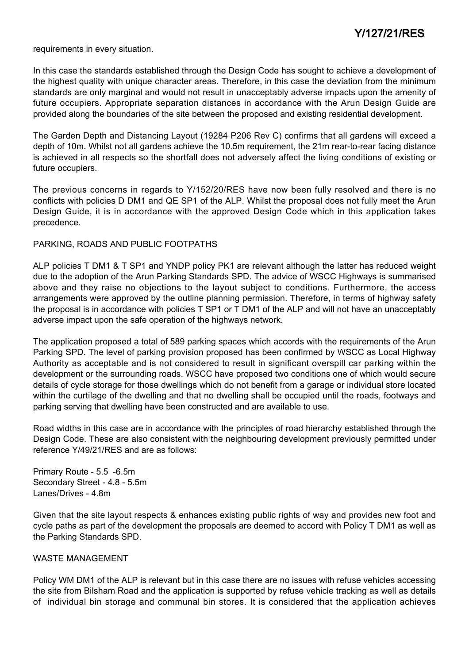requirements in every situation.

In this case the standards established through the Design Code has sought to achieve a development of the highest quality with unique character areas. Therefore, in this case the deviation from the minimum standards are only marginal and would not result in unacceptably adverse impacts upon the amenity of future occupiers. Appropriate separation distances in accordance with the Arun Design Guide are provided along the boundaries of the site between the proposed and existing residential development.

The Garden Depth and Distancing Layout (19284 P206 Rev C) confirms that all gardens will exceed a depth of 10m. Whilst not all gardens achieve the 10.5m requirement, the 21m rear-to-rear facing distance is achieved in all respects so the shortfall does not adversely affect the living conditions of existing or future occupiers.

The previous concerns in regards to Y/152/20/RES have now been fully resolved and there is no conflicts with policies D DM1 and QE SP1 of the ALP. Whilst the proposal does not fully meet the Arun Design Guide, it is in accordance with the approved Design Code which in this application takes precedence.

## PARKING, ROADS AND PUBLIC FOOTPATHS

ALP policies T DM1 & T SP1 and YNDP policy PK1 are relevant although the latter has reduced weight due to the adoption of the Arun Parking Standards SPD. The advice of WSCC Highways is summarised above and they raise no objections to the layout subject to conditions. Furthermore, the access arrangements were approved by the outline planning permission. Therefore, in terms of highway safety the proposal is in accordance with policies T SP1 or T DM1 of the ALP and will not have an unacceptably adverse impact upon the safe operation of the highways network.

The application proposed a total of 589 parking spaces which accords with the requirements of the Arun Parking SPD. The level of parking provision proposed has been confirmed by WSCC as Local Highway Authority as acceptable and is not considered to result in significant overspill car parking within the development or the surrounding roads. WSCC have proposed two conditions one of which would secure details of cycle storage for those dwellings which do not benefit from a garage or individual store located within the curtilage of the dwelling and that no dwelling shall be occupied until the roads, footways and parking serving that dwelling have been constructed and are available to use.

Road widths in this case are in accordance with the principles of road hierarchy established through the Design Code. These are also consistent with the neighbouring development previously permitted under reference Y/49/21/RES and are as follows:

Primary Route - 5.5 -6.5m Secondary Street - 4.8 - 5.5m Lanes/Drives - 4.8m

Given that the site layout respects & enhances existing public rights of way and provides new foot and cycle paths as part of the development the proposals are deemed to accord with Policy T DM1 as well as the Parking Standards SPD.

#### WASTE MANAGEMENT

Policy WM DM1 of the ALP is relevant but in this case there are no issues with refuse vehicles accessing the site from Bilsham Road and the application is supported by refuse vehicle tracking as well as details of individual bin storage and communal bin stores. It is considered that the application achieves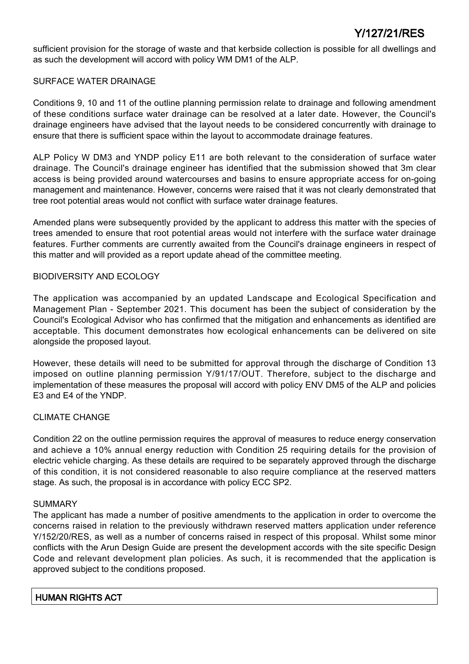sufficient provision for the storage of waste and that kerbside collection is possible for all dwellings and as such the development will accord with policy WM DM1 of the ALP.

## SURFACE WATER DRAINAGE

Conditions 9, 10 and 11 of the outline planning permission relate to drainage and following amendment of these conditions surface water drainage can be resolved at a later date. However, the Council's drainage engineers have advised that the layout needs to be considered concurrently with drainage to ensure that there is sufficient space within the layout to accommodate drainage features.

ALP Policy W DM3 and YNDP policy E11 are both relevant to the consideration of surface water drainage. The Council's drainage engineer has identified that the submission showed that 3m clear access is being provided around watercourses and basins to ensure appropriate access for on-going management and maintenance. However, concerns were raised that it was not clearly demonstrated that tree root potential areas would not conflict with surface water drainage features.

Amended plans were subsequently provided by the applicant to address this matter with the species of trees amended to ensure that root potential areas would not interfere with the surface water drainage features. Further comments are currently awaited from the Council's drainage engineers in respect of this matter and will provided as a report update ahead of the committee meeting.

## BIODIVERSITY AND ECOLOGY

The application was accompanied by an updated Landscape and Ecological Specification and Management Plan - September 2021. This document has been the subject of consideration by the Council's Ecological Advisor who has confirmed that the mitigation and enhancements as identified are acceptable. This document demonstrates how ecological enhancements can be delivered on site alongside the proposed layout.

However, these details will need to be submitted for approval through the discharge of Condition 13 imposed on outline planning permission Y/91/17/OUT. Therefore, subject to the discharge and implementation of these measures the proposal will accord with policy ENV DM5 of the ALP and policies E3 and E4 of the YNDP.

## CLIMATE CHANGE

Condition 22 on the outline permission requires the approval of measures to reduce energy conservation and achieve a 10% annual energy reduction with Condition 25 requiring details for the provision of electric vehicle charging. As these details are required to be separately approved through the discharge of this condition, it is not considered reasonable to also require compliance at the reserved matters stage. As such, the proposal is in accordance with policy ECC SP2.

## SUMMARY

The applicant has made a number of positive amendments to the application in order to overcome the concerns raised in relation to the previously withdrawn reserved matters application under reference Y/152/20/RES, as well as a number of concerns raised in respect of this proposal. Whilst some minor conflicts with the Arun Design Guide are present the development accords with the site specific Design Code and relevant development plan policies. As such, it is recommended that the application is approved subject to the conditions proposed.

## HUMAN RIGHTS ACT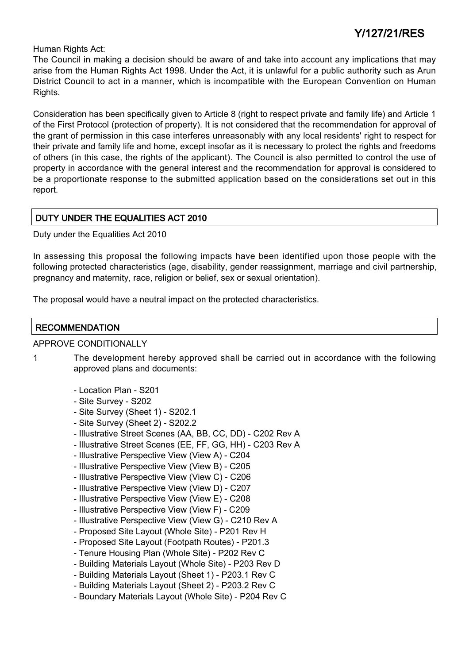Human Rights Act:

The Council in making a decision should be aware of and take into account any implications that may arise from the Human Rights Act 1998. Under the Act, it is unlawful for a public authority such as Arun District Council to act in a manner, which is incompatible with the European Convention on Human Rights.

Consideration has been specifically given to Article 8 (right to respect private and family life) and Article 1 of the First Protocol (protection of property). It is not considered that the recommendation for approval of the grant of permission in this case interferes unreasonably with any local residents' right to respect for their private and family life and home, except insofar as it is necessary to protect the rights and freedoms of others (in this case, the rights of the applicant). The Council is also permitted to control the use of property in accordance with the general interest and the recommendation for approval is considered to be a proportionate response to the submitted application based on the considerations set out in this report.

## DUTY UNDER THE EQUALITIES ACT 2010

Duty under the Equalities Act 2010

In assessing this proposal the following impacts have been identified upon those people with the following protected characteristics (age, disability, gender reassignment, marriage and civil partnership, pregnancy and maternity, race, religion or belief, sex or sexual orientation).

The proposal would have a neutral impact on the protected characteristics.

## **RECOMMENDATION**

## APPROVE CONDITIONALLY

1 The development hereby approved shall be carried out in accordance with the following approved plans and documents:

- Location Plan S201
- Site Survey S202
- Site Survey (Sheet 1) S202.1
- Site Survey (Sheet 2) S202.2
- Illustrative Street Scenes (AA, BB, CC, DD) C202 Rev A
- Illustrative Street Scenes (EE, FF, GG, HH) C203 Rev A
- Illustrative Perspective View (View A) C204
- Illustrative Perspective View (View B) C205
- Illustrative Perspective View (View C) C206
- Illustrative Perspective View (View D) C207
- Illustrative Perspective View (View E) C208
- Illustrative Perspective View (View F) C209
- Illustrative Perspective View (View G) C210 Rev A
- Proposed Site Layout (Whole Site) P201 Rev H
- Proposed Site Layout (Footpath Routes) P201.3
- Tenure Housing Plan (Whole Site) P202 Rev C
- Building Materials Layout (Whole Site) P203 Rev D
- Building Materials Layout (Sheet 1) P203.1 Rev C
- Building Materials Layout (Sheet 2) P203.2 Rev C
- Boundary Materials Layout (Whole Site) P204 Rev C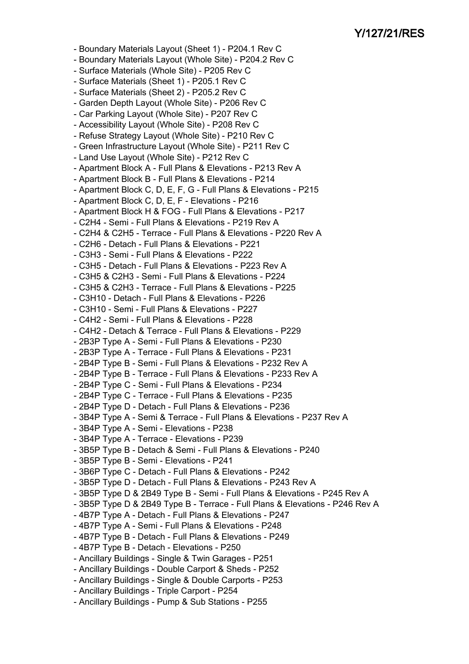- Boundary Materials Layout (Sheet 1) P204.1 Rev C
- Boundary Materials Layout (Whole Site) P204.2 Rev C
- Surface Materials (Whole Site) P205 Rev C
- Surface Materials (Sheet 1) P205.1 Rev C
- Surface Materials (Sheet 2) P205.2 Rev C
- Garden Depth Layout (Whole Site) P206 Rev C
- Car Parking Layout (Whole Site) P207 Rev C
- Accessibility Layout (Whole Site) P208 Rev C
- Refuse Strategy Layout (Whole Site) P210 Rev C
- Green Infrastructure Layout (Whole Site) P211 Rev C
- Land Use Layout (Whole Site) P212 Rev C
- Apartment Block A Full Plans & Elevations P213 Rev A
- Apartment Block B Full Plans & Elevations P214
- Apartment Block C, D, E, F, G Full Plans & Elevations P215
- Apartment Block C, D, E, F Elevations P216
- Apartment Block H & FOG Full Plans & Elevations P217
- C2H4 Semi Full Plans & Elevations P219 Rev A
- C2H4 & C2H5 Terrace Full Plans & Elevations P220 Rev A
- C2H6 Detach Full Plans & Elevations P221
- C3H3 Semi Full Plans & Elevations P222
- C3H5 Detach Full Plans & Elevations P223 Rev A
- C3H5 & C2H3 Semi Full Plans & Elevations P224
- C3H5 & C2H3 Terrace Full Plans & Elevations P225
- C3H10 Detach Full Plans & Elevations P226
- C3H10 Semi Full Plans & Elevations P227
- C4H2 Semi Full Plans & Elevations P228
- C4H2 Detach & Terrace Full Plans & Elevations P229
- 2B3P Type A Semi Full Plans & Elevations P230
- 2B3P Type A Terrace Full Plans & Elevations P231
- 2B4P Type B Semi Full Plans & Elevations P232 Rev A
- 2B4P Type B Terrace Full Plans & Elevations P233 Rev A
- 2B4P Type C Semi Full Plans & Elevations P234
- 2B4P Type C Terrace Full Plans & Elevations P235
- 2B4P Type D Detach Full Plans & Elevations P236
- 3B4P Type A Semi & Terrace Full Plans & Elevations P237 Rev A
- 3B4P Type A Semi Elevations P238
- 3B4P Type A Terrace Elevations P239
- 3B5P Type B Detach & Semi Full Plans & Elevations P240
- 3B5P Type B Semi Elevations P241
- 3B6P Type C Detach Full Plans & Elevations P242
- 3B5P Type D Detach Full Plans & Elevations P243 Rev A
- 3B5P Type D & 2B49 Type B Semi Full Plans & Elevations P245 Rev A
- 3B5P Type D & 2B49 Type B Terrace Full Plans & Elevations P246 Rev A
- 4B7P Type A Detach Full Plans & Elevations P247
- 4B7P Type A Semi Full Plans & Elevations P248
- 4B7P Type B Detach Full Plans & Elevations P249
- 4B7P Type B Detach Elevations P250
- Ancillary Buildings Single & Twin Garages P251
- Ancillary Buildings Double Carport & Sheds P252
- Ancillary Buildings Single & Double Carports P253
- Ancillary Buildings Triple Carport P254
- Ancillary Buildings Pump & Sub Stations P255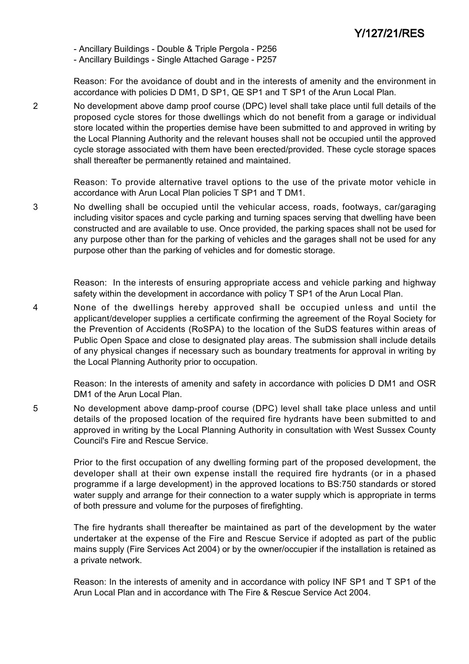- Ancillary Buildings - Double & Triple Pergola - P256

- Ancillary Buildings - Single Attached Garage - P257

Reason: For the avoidance of doubt and in the interests of amenity and the environment in accordance with policies D DM1, D SP1, QE SP1 and T SP1 of the Arun Local Plan.

2 No development above damp proof course (DPC) level shall take place until full details of the proposed cycle stores for those dwellings which do not benefit from a garage or individual store located within the properties demise have been submitted to and approved in writing by the Local Planning Authority and the relevant houses shall not be occupied until the approved cycle storage associated with them have been erected/provided. These cycle storage spaces shall thereafter be permanently retained and maintained.

> Reason: To provide alternative travel options to the use of the private motor vehicle in accordance with Arun Local Plan policies T SP1 and T DM1.

3 No dwelling shall be occupied until the vehicular access, roads, footways, car/garaging including visitor spaces and cycle parking and turning spaces serving that dwelling have been constructed and are available to use. Once provided, the parking spaces shall not be used for any purpose other than for the parking of vehicles and the garages shall not be used for any purpose other than the parking of vehicles and for domestic storage.

> Reason: In the interests of ensuring appropriate access and vehicle parking and highway safety within the development in accordance with policy T SP1 of the Arun Local Plan.

4 None of the dwellings hereby approved shall be occupied unless and until the applicant/developer supplies a certificate confirming the agreement of the Royal Society for the Prevention of Accidents (RoSPA) to the location of the SuDS features within areas of Public Open Space and close to designated play areas. The submission shall include details of any physical changes if necessary such as boundary treatments for approval in writing by the Local Planning Authority prior to occupation.

> Reason: In the interests of amenity and safety in accordance with policies D DM1 and OSR DM1 of the Arun Local Plan.

5 No development above damp-proof course (DPC) level shall take place unless and until details of the proposed location of the required fire hydrants have been submitted to and approved in writing by the Local Planning Authority in consultation with West Sussex County Council's Fire and Rescue Service.

> Prior to the first occupation of any dwelling forming part of the proposed development, the developer shall at their own expense install the required fire hydrants (or in a phased programme if a large development) in the approved locations to BS:750 standards or stored water supply and arrange for their connection to a water supply which is appropriate in terms of both pressure and volume for the purposes of firefighting.

> The fire hydrants shall thereafter be maintained as part of the development by the water undertaker at the expense of the Fire and Rescue Service if adopted as part of the public mains supply (Fire Services Act 2004) or by the owner/occupier if the installation is retained as a private network.

> Reason: In the interests of amenity and in accordance with policy INF SP1 and T SP1 of the Arun Local Plan and in accordance with The Fire & Rescue Service Act 2004.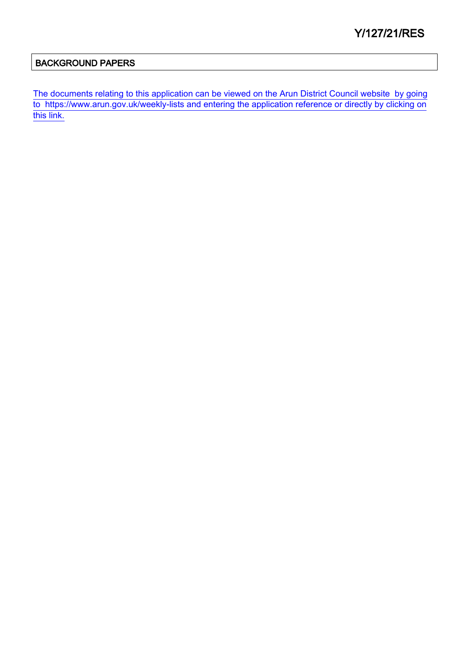## BACKGROUND PAPERS

[The documents relating to this application can be viewed on the Arun District Council website by going](http://www1.arun.gov.uk/planrec/index.cfm?tpkey=eOcella&user_key_1=Y/127/21/RES&keyscheme=planning) [to https://www.arun.gov.uk/weekly-lists and entering the application reference or directly by clicking on](http://www1.arun.gov.uk/planrec/index.cfm?tpkey=eOcella&user_key_1=Y/127/21/RES&keyscheme=planning) [this link.](http://www1.arun.gov.uk/planrec/index.cfm?tpkey=eOcella&user_key_1=Y/127/21/RES&keyscheme=planning)